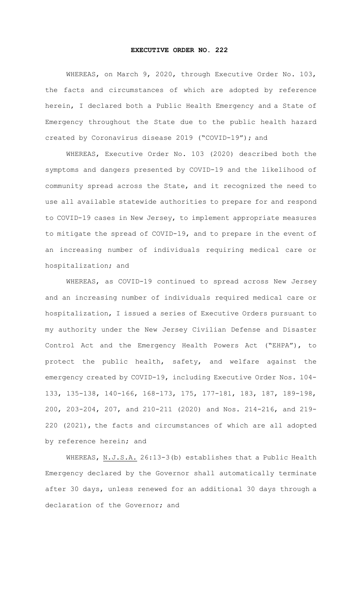## **EXECUTIVE ORDER NO. 222**

WHEREAS, on March 9, 2020, through Executive Order No. 103, the facts and circumstances of which are adopted by reference herein, I declared both a Public Health Emergency and a State of Emergency throughout the State due to the public health hazard created by Coronavirus disease 2019 ("COVID-19"); and

WHEREAS, Executive Order No. 103 (2020) described both the symptoms and dangers presented by COVID-19 and the likelihood of community spread across the State, and it recognized the need to use all available statewide authorities to prepare for and respond to COVID-19 cases in New Jersey, to implement appropriate measures to mitigate the spread of COVID-19, and to prepare in the event of an increasing number of individuals requiring medical care or hospitalization; and

WHEREAS, as COVID-19 continued to spread across New Jersey and an increasing number of individuals required medical care or hospitalization, I issued a series of Executive Orders pursuant to my authority under the New Jersey Civilian Defense and Disaster Control Act and the Emergency Health Powers Act ("EHPA"), to protect the public health, safety, and welfare against the emergency created by COVID-19, including Executive Order Nos. 104- 133, 135-138, 140-166, 168-173, 175, 177-181, 183, 187, 189-198, 200, 203-204, 207, and 210-211 (2020) and Nos. 214-216, and 219- 220 (2021), the facts and circumstances of which are all adopted by reference herein; and

WHEREAS, N.J.S.A. 26:13-3(b) establishes that a Public Health Emergency declared by the Governor shall automatically terminate after 30 days, unless renewed for an additional 30 days through a declaration of the Governor; and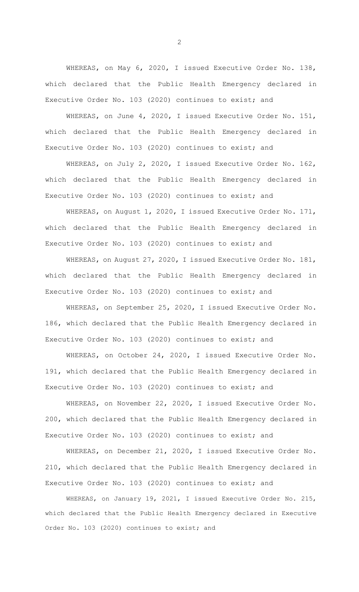WHEREAS, on May 6, 2020, I issued Executive Order No. 138, which declared that the Public Health Emergency declared in Executive Order No. 103 (2020) continues to exist; and

WHEREAS, on June 4, 2020, I issued Executive Order No. 151, which declared that the Public Health Emergency declared in Executive Order No. 103 (2020) continues to exist; and

WHEREAS, on July 2, 2020, I issued Executive Order No. 162, which declared that the Public Health Emergency declared in Executive Order No. 103 (2020) continues to exist; and

WHEREAS, on August 1, 2020, I issued Executive Order No. 171, which declared that the Public Health Emergency declared in Executive Order No. 103 (2020) continues to exist; and

WHEREAS, on August 27, 2020, I issued Executive Order No. 181, which declared that the Public Health Emergency declared in Executive Order No. 103 (2020) continues to exist; and

WHEREAS, on September 25, 2020, I issued Executive Order No. 186, which declared that the Public Health Emergency declared in Executive Order No. 103 (2020) continues to exist; and

WHEREAS, on October 24, 2020, I issued Executive Order No. 191, which declared that the Public Health Emergency declared in Executive Order No. 103 (2020) continues to exist; and

WHEREAS, on November 22, 2020, I issued Executive Order No. 200, which declared that the Public Health Emergency declared in Executive Order No. 103 (2020) continues to exist; and

WHEREAS, on December 21, 2020, I issued Executive Order No. 210, which declared that the Public Health Emergency declared in Executive Order No. 103 (2020) continues to exist; and

WHEREAS, on January 19, 2021, I issued Executive Order No. 215, which declared that the Public Health Emergency declared in Executive Order No. 103 (2020) continues to exist; and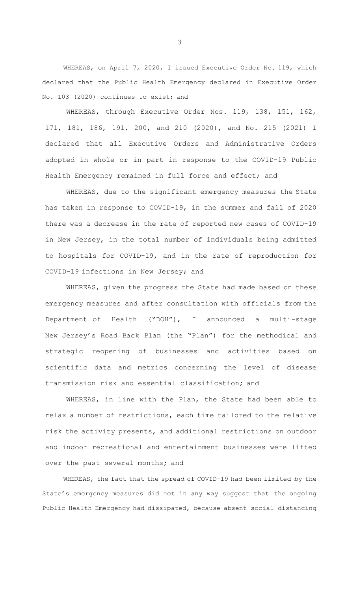WHEREAS, on April 7, 2020, I issued Executive Order No. 119, which declared that the Public Health Emergency declared in Executive Order No. 103 (2020) continues to exist; and

WHEREAS, through Executive Order Nos. 119, 138, 151, 162, 171, 181, 186, 191, 200, and 210 (2020), and No. 215 (2021) I declared that all Executive Orders and Administrative Orders adopted in whole or in part in response to the COVID-19 Public Health Emergency remained in full force and effect; and

WHEREAS, due to the significant emergency measures the State has taken in response to COVID-19, in the summer and fall of 2020 there was a decrease in the rate of reported new cases of COVID-19 in New Jersey, in the total number of individuals being admitted to hospitals for COVID-19, and in the rate of reproduction for COVID-19 infections in New Jersey; and

WHEREAS, given the progress the State had made based on these emergency measures and after consultation with officials from the Department of Health ("DOH"), I announced a multi-stage New Jersey's Road Back Plan (the "Plan") for the methodical and strategic reopening of businesses and activities based on scientific data and metrics concerning the level of disease transmission risk and essential classification; and

WHEREAS, in line with the Plan, the State had been able to relax a number of restrictions, each time tailored to the relative risk the activity presents, and additional restrictions on outdoor and indoor recreational and entertainment businesses were lifted over the past several months; and

WHEREAS, the fact that the spread of COVID-19 had been limited by the State's emergency measures did not in any way suggest that the ongoing Public Health Emergency had dissipated, because absent social distancing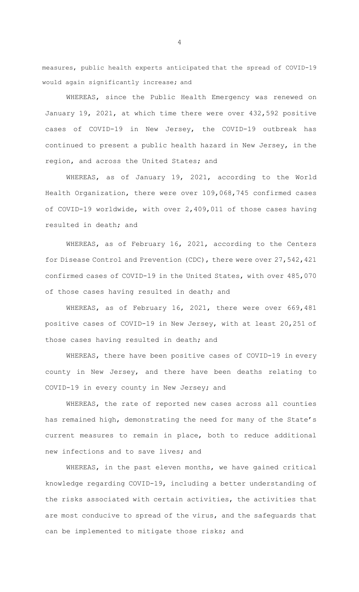measures, public health experts anticipated that the spread of COVID-19 would again significantly increase; and

WHEREAS, since the Public Health Emergency was renewed on January 19, 2021, at which time there were over 432,592 positive cases of COVID-19 in New Jersey, the COVID-19 outbreak has continued to present a public health hazard in New Jersey, in the region, and across the United States; and

WHEREAS, as of January 19, 2021, according to the World Health Organization, there were over 109,068,745 confirmed cases of COVID-19 worldwide, with over 2,409,011 of those cases having resulted in death; and

WHEREAS, as of February 16, 2021, according to the Centers for Disease Control and Prevention (CDC), there were over 27,542,421 confirmed cases of COVID-19 in the United States, with over 485,070 of those cases having resulted in death; and

WHEREAS, as of February 16, 2021, there were over 669,481 positive cases of COVID-19 in New Jersey, with at least 20,251 of those cases having resulted in death; and

WHEREAS, there have been positive cases of COVID-19 in every county in New Jersey, and there have been deaths relating to COVID-19 in every county in New Jersey; and

WHEREAS, the rate of reported new cases across all counties has remained high, demonstrating the need for many of the State's current measures to remain in place, both to reduce additional new infections and to save lives; and

WHEREAS, in the past eleven months, we have gained critical knowledge regarding COVID-19, including a better understanding of the risks associated with certain activities, the activities that are most conducive to spread of the virus, and the safeguards that can be implemented to mitigate those risks; and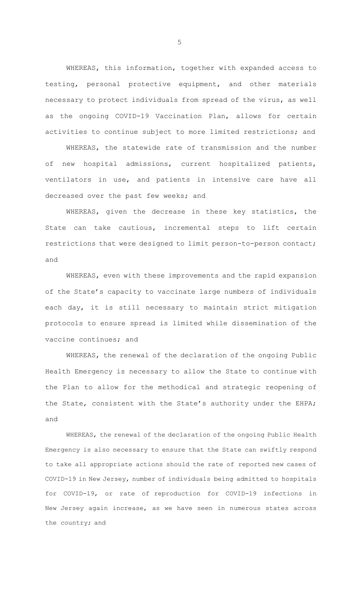WHEREAS, this information, together with expanded access to testing, personal protective equipment, and other materials necessary to protect individuals from spread of the virus, as well as the ongoing COVID-19 Vaccination Plan, allows for certain activities to continue subject to more limited restrictions; and

WHEREAS, the statewide rate of transmission and the number of new hospital admissions, current hospitalized patients, ventilators in use, and patients in intensive care have all decreased over the past few weeks; and

WHEREAS, given the decrease in these key statistics, the State can take cautious, incremental steps to lift certain restrictions that were designed to limit person-to-person contact; and

WHEREAS, even with these improvements and the rapid expansion of the State's capacity to vaccinate large numbers of individuals each day, it is still necessary to maintain strict mitigation protocols to ensure spread is limited while dissemination of the vaccine continues; and

WHEREAS, the renewal of the declaration of the ongoing Public Health Emergency is necessary to allow the State to continue with the Plan to allow for the methodical and strategic reopening of the State, consistent with the State's authority under the EHPA; and

WHEREAS, the renewal of the declaration of the ongoing Public Health Emergency is also necessary to ensure that the State can swiftly respond to take all appropriate actions should the rate of reported new cases of COVID-19 in New Jersey, number of individuals being admitted to hospitals for COVID-19, or rate of reproduction for COVID-19 infections in New Jersey again increase, as we have seen in numerous states across the country; and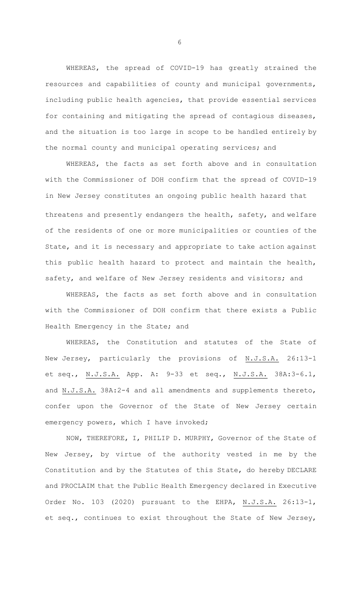WHEREAS, the spread of COVID-19 has greatly strained the resources and capabilities of county and municipal governments, including public health agencies, that provide essential services for containing and mitigating the spread of contagious diseases, and the situation is too large in scope to be handled entirely by the normal county and municipal operating services; and

WHEREAS, the facts as set forth above and in consultation with the Commissioner of DOH confirm that the spread of COVID-19 in New Jersey constitutes an ongoing public health hazard that threatens and presently endangers the health, safety, and welfare of the residents of one or more municipalities or counties of the State, and it is necessary and appropriate to take action against this public health hazard to protect and maintain the health, safety, and welfare of New Jersey residents and visitors; and

WHEREAS, the facts as set forth above and in consultation with the Commissioner of DOH confirm that there exists a Public Health Emergency in the State; and

WHEREAS, the Constitution and statutes of the State of New Jersey, particularly the provisions of N.J.S.A. 26:13-1 et seq., N.J.S.A. App. A: 9-33 et seq., N.J.S.A. 38A:3-6.1, and N.J.S.A. 38A:2-4 and all amendments and supplements thereto, confer upon the Governor of the State of New Jersey certain emergency powers, which I have invoked;

NOW, THEREFORE, I, PHILIP D. MURPHY, Governor of the State of New Jersey, by virtue of the authority vested in me by the Constitution and by the Statutes of this State, do hereby DECLARE and PROCLAIM that the Public Health Emergency declared in Executive Order No. 103 (2020) pursuant to the EHPA, N.J.S.A. 26:13-1, et seq., continues to exist throughout the State of New Jersey,